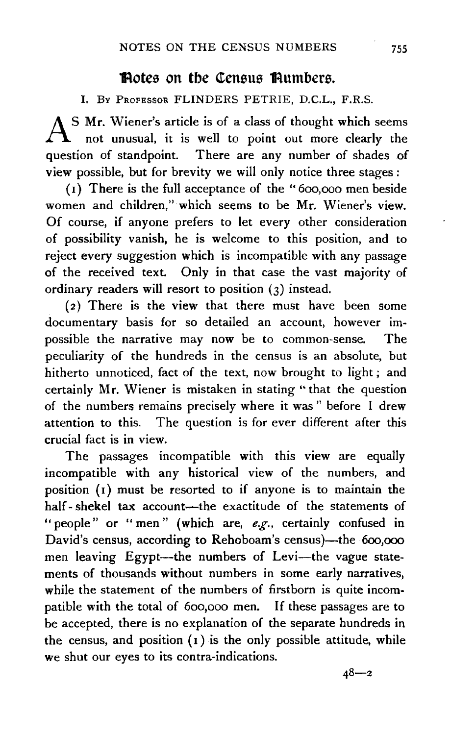## Rotes on the Census Rumbers.

I. Bv PRoFESSOR FLINDERS PETRIE, D.C.L., F.R.S.

AS Mr. Wiener's article is of a class of thought which seems not unusual, it is well to point out more clearly the question of standpoint. There are any number of shades of view possible, but for brevity we will only notice three stages :

( 1) There is the full acceptance of the " 6oo,ooo men beside women and children," which seems to be Mr. Wiener's view. Of course, if anyone prefers to let every other consideration of possibility vanish, he is welcome to this position, and to reject every suggestion which is incompatible with any passage of the received text. Only in that case the vast majority of ordinary readers will resort to position (3) instead.

(2) There is the view that there must have been some documentary basis for so detailed an account, however im~ possible the narrative may now be to common-sense. The peculiarity of the hundreds in the census is an absolute, but hitherto unnoticed, fact of the text, now brought to light ; and certainly Mr. Wiener is mistaken in stating '' that the question of the numbers remains precisely where it was " before I drew attention to this. The question is for ever different after this crucial fact is in view.

The passages incompatible with this view are equally incompatible with any historical view of the numbers, and position (1) must be resorted to if anyone is to maintain the half-shekel tax account-the exactitude of the statements of ''people" or "men'' (which are, *e.g.,* certainly confused in David's census, according to Rehoboam's census)-the 600,000 men leaving Egypt-the numbers of Levi-the vague statements of thousands without numbers in some early narratives, while the statement of the numbers of firstborn is quite incompatible with the total of 6oo,ooo men. If these passages are to be accepted, there is no explanation of the separate hundreds in the census, and position  $(1)$  is the only possible attitude, while we shut our eyes to its contra-indications.

 $48 - 2$